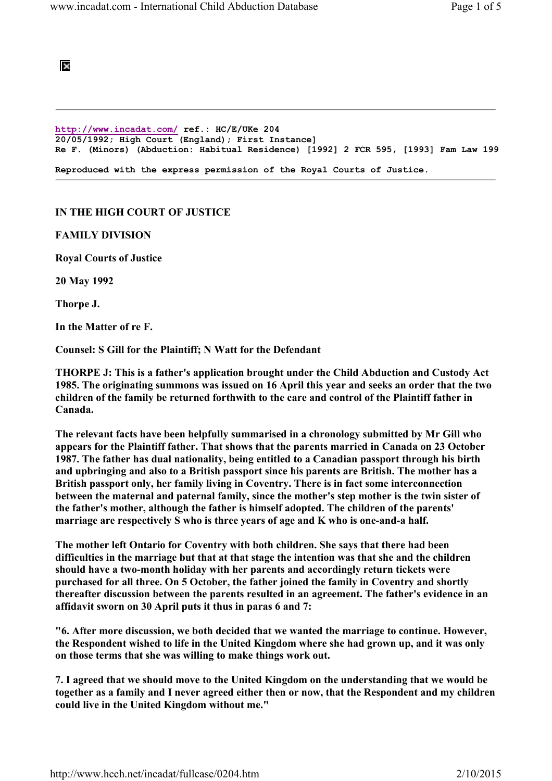## Ι×

http://www.incadat.com/ ref.: HC/E/UKe 204 20/05/1992; High Court (England); First Instance] Re F. (Minors) (Abduction: Habitual Residence) [1992] 2 FCR 595, [1993] Fam Law 199

Reproduced with the express permission of the Royal Courts of Justice.

## IN THE HIGH COURT OF JUSTICE

FAMILY DIVISION

Royal Courts of Justice

20 May 1992

Thorpe J.

In the Matter of re F.

Counsel: S Gill for the Plaintiff; N Watt for the Defendant

THORPE J: This is a father's application brought under the Child Abduction and Custody Act 1985. The originating summons was issued on 16 April this year and seeks an order that the two children of the family be returned forthwith to the care and control of the Plaintiff father in Canada.

The relevant facts have been helpfully summarised in a chronology submitted by Mr Gill who appears for the Plaintiff father. That shows that the parents married in Canada on 23 October 1987. The father has dual nationality, being entitled to a Canadian passport through his birth and upbringing and also to a British passport since his parents are British. The mother has a British passport only, her family living in Coventry. There is in fact some interconnection between the maternal and paternal family, since the mother's step mother is the twin sister of the father's mother, although the father is himself adopted. The children of the parents' marriage are respectively S who is three years of age and K who is one-and-a half.

The mother left Ontario for Coventry with both children. She says that there had been difficulties in the marriage but that at that stage the intention was that she and the children should have a two-month holiday with her parents and accordingly return tickets were purchased for all three. On 5 October, the father joined the family in Coventry and shortly thereafter discussion between the parents resulted in an agreement. The father's evidence in an affidavit sworn on 30 April puts it thus in paras 6 and 7:

"6. After more discussion, we both decided that we wanted the marriage to continue. However, the Respondent wished to life in the United Kingdom where she had grown up, and it was only on those terms that she was willing to make things work out.

7. I agreed that we should move to the United Kingdom on the understanding that we would be together as a family and I never agreed either then or now, that the Respondent and my children could live in the United Kingdom without me."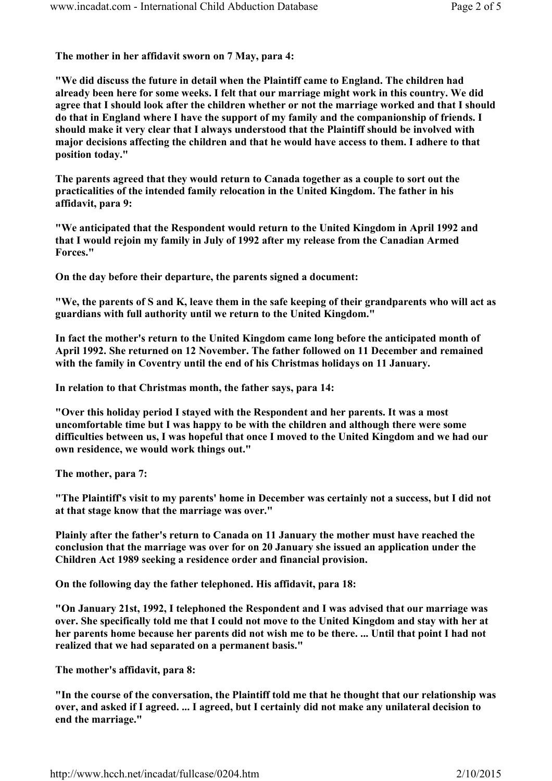The mother in her affidavit sworn on 7 May, para 4:

"We did discuss the future in detail when the Plaintiff came to England. The children had already been here for some weeks. I felt that our marriage might work in this country. We did agree that I should look after the children whether or not the marriage worked and that I should do that in England where I have the support of my family and the companionship of friends. I should make it very clear that I always understood that the Plaintiff should be involved with major decisions affecting the children and that he would have access to them. I adhere to that position today."

The parents agreed that they would return to Canada together as a couple to sort out the practicalities of the intended family relocation in the United Kingdom. The father in his affidavit, para 9:

"We anticipated that the Respondent would return to the United Kingdom in April 1992 and that I would rejoin my family in July of 1992 after my release from the Canadian Armed Forces."

On the day before their departure, the parents signed a document:

"We, the parents of S and K, leave them in the safe keeping of their grandparents who will act as guardians with full authority until we return to the United Kingdom."

In fact the mother's return to the United Kingdom came long before the anticipated month of April 1992. She returned on 12 November. The father followed on 11 December and remained with the family in Coventry until the end of his Christmas holidays on 11 January.

In relation to that Christmas month, the father says, para 14:

"Over this holiday period I stayed with the Respondent and her parents. It was a most uncomfortable time but I was happy to be with the children and although there were some difficulties between us, I was hopeful that once I moved to the United Kingdom and we had our own residence, we would work things out."

The mother, para 7:

"The Plaintiff's visit to my parents' home in December was certainly not a success, but I did not at that stage know that the marriage was over."

Plainly after the father's return to Canada on 11 January the mother must have reached the conclusion that the marriage was over for on 20 January she issued an application under the Children Act 1989 seeking a residence order and financial provision.

On the following day the father telephoned. His affidavit, para 18:

"On January 21st, 1992, I telephoned the Respondent and I was advised that our marriage was over. She specifically told me that I could not move to the United Kingdom and stay with her at her parents home because her parents did not wish me to be there. ... Until that point I had not realized that we had separated on a permanent basis."

The mother's affidavit, para 8:

"In the course of the conversation, the Plaintiff told me that he thought that our relationship was over, and asked if I agreed. ... I agreed, but I certainly did not make any unilateral decision to end the marriage."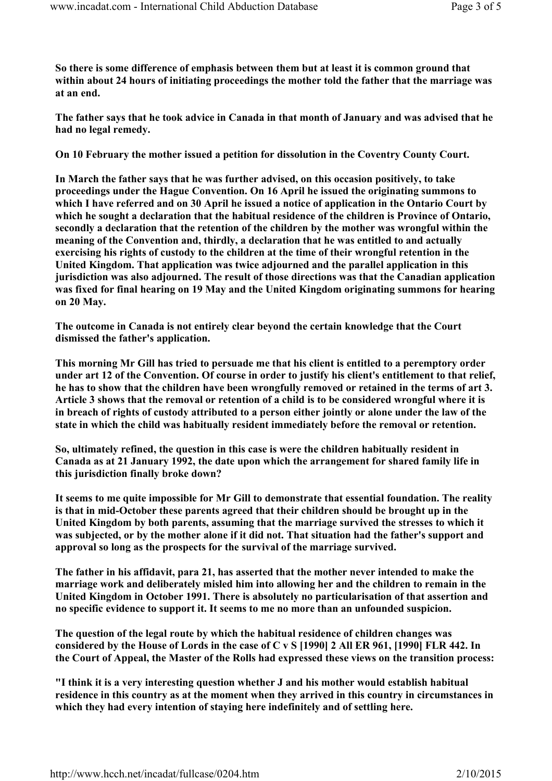So there is some difference of emphasis between them but at least it is common ground that within about 24 hours of initiating proceedings the mother told the father that the marriage was at an end.

The father says that he took advice in Canada in that month of January and was advised that he had no legal remedy.

On 10 February the mother issued a petition for dissolution in the Coventry County Court.

In March the father says that he was further advised, on this occasion positively, to take proceedings under the Hague Convention. On 16 April he issued the originating summons to which I have referred and on 30 April he issued a notice of application in the Ontario Court by which he sought a declaration that the habitual residence of the children is Province of Ontario, secondly a declaration that the retention of the children by the mother was wrongful within the meaning of the Convention and, thirdly, a declaration that he was entitled to and actually exercising his rights of custody to the children at the time of their wrongful retention in the United Kingdom. That application was twice adjourned and the parallel application in this jurisdiction was also adjourned. The result of those directions was that the Canadian application was fixed for final hearing on 19 May and the United Kingdom originating summons for hearing on 20 May.

The outcome in Canada is not entirely clear beyond the certain knowledge that the Court dismissed the father's application.

This morning Mr Gill has tried to persuade me that his client is entitled to a peremptory order under art 12 of the Convention. Of course in order to justify his client's entitlement to that relief, he has to show that the children have been wrongfully removed or retained in the terms of art 3. Article 3 shows that the removal or retention of a child is to be considered wrongful where it is in breach of rights of custody attributed to a person either jointly or alone under the law of the state in which the child was habitually resident immediately before the removal or retention.

So, ultimately refined, the question in this case is were the children habitually resident in Canada as at 21 January 1992, the date upon which the arrangement for shared family life in this jurisdiction finally broke down?

It seems to me quite impossible for Mr Gill to demonstrate that essential foundation. The reality is that in mid-October these parents agreed that their children should be brought up in the United Kingdom by both parents, assuming that the marriage survived the stresses to which it was subjected, or by the mother alone if it did not. That situation had the father's support and approval so long as the prospects for the survival of the marriage survived.

The father in his affidavit, para 21, has asserted that the mother never intended to make the marriage work and deliberately misled him into allowing her and the children to remain in the United Kingdom in October 1991. There is absolutely no particularisation of that assertion and no specific evidence to support it. It seems to me no more than an unfounded suspicion.

The question of the legal route by which the habitual residence of children changes was considered by the House of Lords in the case of C v S [1990] 2 All ER 961, [1990] FLR 442. In the Court of Appeal, the Master of the Rolls had expressed these views on the transition process:

"I think it is a very interesting question whether J and his mother would establish habitual residence in this country as at the moment when they arrived in this country in circumstances in which they had every intention of staying here indefinitely and of settling here.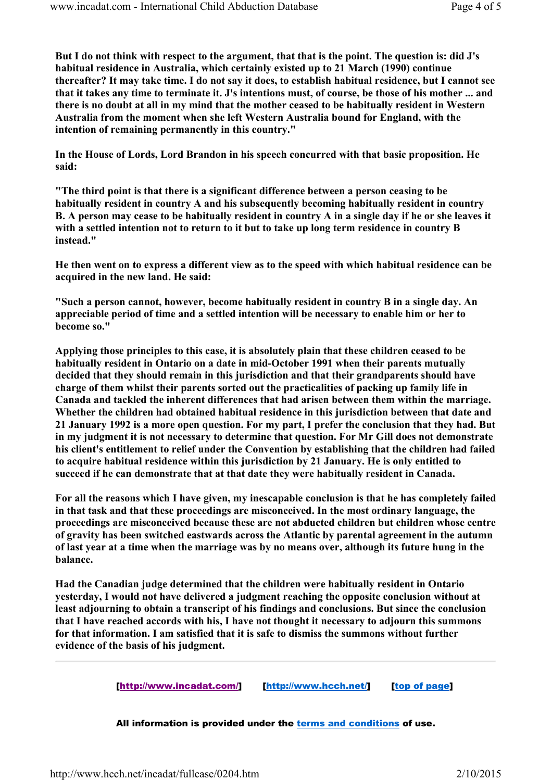But I do not think with respect to the argument, that that is the point. The question is: did J's habitual residence in Australia, which certainly existed up to 21 March (1990) continue thereafter? It may take time. I do not say it does, to establish habitual residence, but I cannot see that it takes any time to terminate it. J's intentions must, of course, be those of his mother ... and there is no doubt at all in my mind that the mother ceased to be habitually resident in Western Australia from the moment when she left Western Australia bound for England, with the intention of remaining permanently in this country."

In the House of Lords, Lord Brandon in his speech concurred with that basic proposition. He said:

"The third point is that there is a significant difference between a person ceasing to be habitually resident in country A and his subsequently becoming habitually resident in country B. A person may cease to be habitually resident in country A in a single day if he or she leaves it with a settled intention not to return to it but to take up long term residence in country B instead."

He then went on to express a different view as to the speed with which habitual residence can be acquired in the new land. He said:

"Such a person cannot, however, become habitually resident in country B in a single day. An appreciable period of time and a settled intention will be necessary to enable him or her to become so."

Applying those principles to this case, it is absolutely plain that these children ceased to be habitually resident in Ontario on a date in mid-October 1991 when their parents mutually decided that they should remain in this jurisdiction and that their grandparents should have charge of them whilst their parents sorted out the practicalities of packing up family life in Canada and tackled the inherent differences that had arisen between them within the marriage. Whether the children had obtained habitual residence in this jurisdiction between that date and 21 January 1992 is a more open question. For my part, I prefer the conclusion that they had. But in my judgment it is not necessary to determine that question. For Mr Gill does not demonstrate his client's entitlement to relief under the Convention by establishing that the children had failed to acquire habitual residence within this jurisdiction by 21 January. He is only entitled to succeed if he can demonstrate that at that date they were habitually resident in Canada.

For all the reasons which I have given, my inescapable conclusion is that he has completely failed in that task and that these proceedings are misconceived. In the most ordinary language, the proceedings are misconceived because these are not abducted children but children whose centre of gravity has been switched eastwards across the Atlantic by parental agreement in the autumn of last year at a time when the marriage was by no means over, although its future hung in the balance.

Had the Canadian judge determined that the children were habitually resident in Ontario yesterday, I would not have delivered a judgment reaching the opposite conclusion without at least adjourning to obtain a transcript of his findings and conclusions. But since the conclusion that I have reached accords with his, I have not thought it necessary to adjourn this summons for that information. I am satisfied that it is safe to dismiss the summons without further evidence of the basis of his judgment.

[http://www.incadat.com/] [http://www.hcch.net/] [top of page]

All information is provided under the terms and conditions of use.